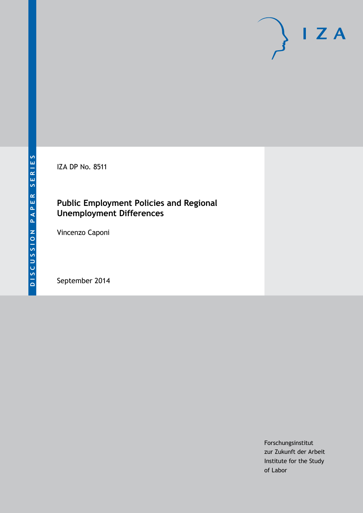IZA DP No. 8511

# **Public Employment Policies and Regional Unemployment Differences**

Vincenzo Caponi

September 2014

Forschungsinstitut zur Zukunft der Arbeit Institute for the Study of Labor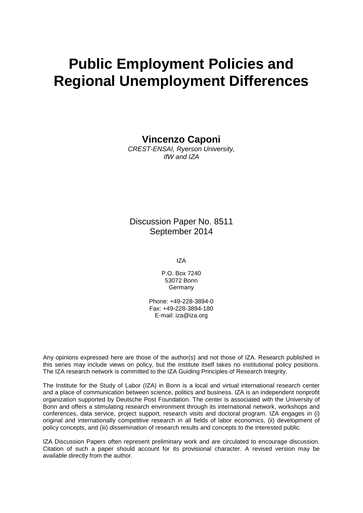# **Public Employment Policies and Regional Unemployment Differences**

**Vincenzo Caponi**

*CREST-ENSAI, Ryerson University, IfW and IZA*

Discussion Paper No. 8511 September 2014

IZA

P.O. Box 7240 53072 Bonn Germany

Phone: +49-228-3894-0 Fax: +49-228-3894-180 E-mail: [iza@iza.org](mailto:iza@iza.org)

Any opinions expressed here are those of the author(s) and not those of IZA. Research published in this series may include views on policy, but the institute itself takes no institutional policy positions. The IZA research network is committed to the IZA Guiding Principles of Research Integrity.

The Institute for the Study of Labor (IZA) in Bonn is a local and virtual international research center and a place of communication between science, politics and business. IZA is an independent nonprofit organization supported by Deutsche Post Foundation. The center is associated with the University of Bonn and offers a stimulating research environment through its international network, workshops and conferences, data service, project support, research visits and doctoral program. IZA engages in (i) original and internationally competitive research in all fields of labor economics, (ii) development of policy concepts, and (iii) dissemination of research results and concepts to the interested public.

IZA Discussion Papers often represent preliminary work and are circulated to encourage discussion. Citation of such a paper should account for its provisional character. A revised version may be available directly from the author.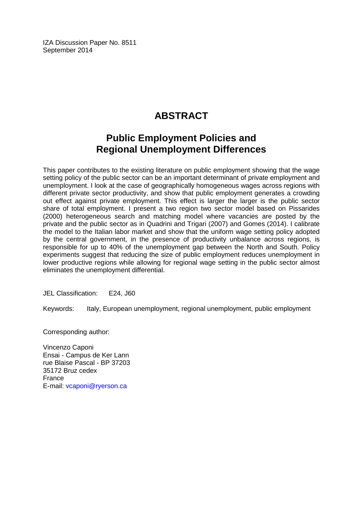IZA Discussion Paper No. 8511 September 2014

# **ABSTRACT**

# **Public Employment Policies and Regional Unemployment Differences**

This paper contributes to the existing literature on public employment showing that the wage setting policy of the public sector can be an important determinant of private employment and unemployment. I look at the case of geographically homogeneous wages across regions with different private sector productivity, and show that public employment generates a crowding out effect against private employment. This effect is larger the larger is the public sector share of total employment. I present a two region two sector model based on Pissarides (2000) heterogeneous search and matching model where vacancies are posted by the private and the public sector as in Quadrini and Trigari (2007) and Gomes (2014). I calibrate the model to the Italian labor market and show that the uniform wage setting policy adopted by the central government, in the presence of productivity unbalance across regions, is responsible for up to 40% of the unemployment gap between the North and South. Policy experiments suggest that reducing the size of public employment reduces unemployment in lower productive regions while allowing for regional wage setting in the public sector almost eliminates the unemployment differential.

JEL Classification: E24, J60

Keywords: Italy, European unemployment, regional unemployment, public employment

Corresponding author:

Vincenzo Caponi Ensai - Campus de Ker Lann rue Blaise Pascal - BP 37203 35172 Bruz cedex France E-mail: [vcaponi@ryerson.ca](mailto:vcaponi@ryerson.ca)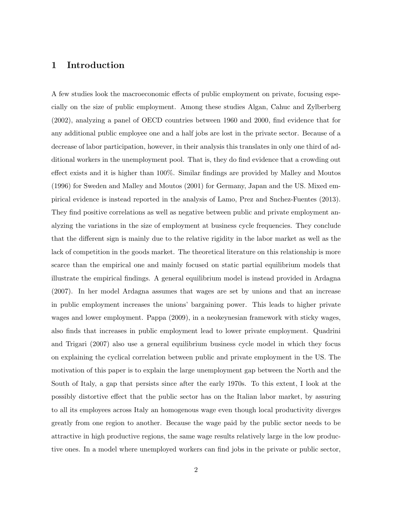# 1 Introduction

A few studies look the macroeconomic effects of public employment on private, focusing especially on the size of public employment. Among these studies Algan, Cahuc and Zylberberg (2002), analyzing a panel of OECD countries between 1960 and 2000, find evidence that for any additional public employee one and a half jobs are lost in the private sector. Because of a decrease of labor participation, however, in their analysis this translates in only one third of additional workers in the unemployment pool. That is, they do find evidence that a crowding out effect exists and it is higher than 100%. Similar findings are provided by Malley and Moutos (1996) for Sweden and Malley and Moutos (2001) for Germany, Japan and the US. Mixed empirical evidence is instead reported in the analysis of Lamo, Prez and Snchez-Fuentes (2013). They find positive correlations as well as negative between public and private employment analyzing the variations in the size of employment at business cycle frequencies. They conclude that the different sign is mainly due to the relative rigidity in the labor market as well as the lack of competition in the goods market. The theoretical literature on this relationship is more scarce than the empirical one and mainly focused on static partial equilibrium models that illustrate the empirical findings. A general equilibrium model is instead provided in Ardagna (2007). In her model Ardagna assumes that wages are set by unions and that an increase in public employment increases the unions' bargaining power. This leads to higher private wages and lower employment. Pappa (2009), in a neokeynesian framework with sticky wages, also finds that increases in public employment lead to lower private employment. Quadrini and Trigari (2007) also use a general equilibrium business cycle model in which they focus on explaining the cyclical correlation between public and private employment in the US. The motivation of this paper is to explain the large unemployment gap between the North and the South of Italy, a gap that persists since after the early 1970s. To this extent, I look at the possibly distortive effect that the public sector has on the Italian labor market, by assuring to all its employees across Italy an homogenous wage even though local productivity diverges greatly from one region to another. Because the wage paid by the public sector needs to be attractive in high productive regions, the same wage results relatively large in the low productive ones. In a model where unemployed workers can find jobs in the private or public sector,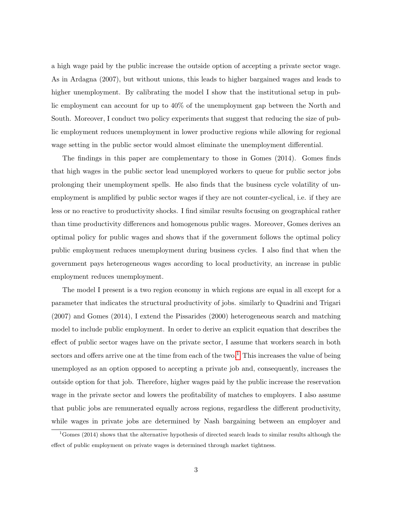a high wage paid by the public increase the outside option of accepting a private sector wage. As in Ardagna (2007), but without unions, this leads to higher bargained wages and leads to higher unemployment. By calibrating the model I show that the institutional setup in public employment can account for up to 40% of the unemployment gap between the North and South. Moreover, I conduct two policy experiments that suggest that reducing the size of public employment reduces unemployment in lower productive regions while allowing for regional wage setting in the public sector would almost eliminate the unemployment differential.

The findings in this paper are complementary to those in Gomes (2014). Gomes finds that high wages in the public sector lead unemployed workers to queue for public sector jobs prolonging their unemployment spells. He also finds that the business cycle volatility of unemployment is amplified by public sector wages if they are not counter-cyclical, i.e. if they are less or no reactive to productivity shocks. I find similar results focusing on geographical rather than time productivity differences and homogenous public wages. Moreover, Gomes derives an optimal policy for public wages and shows that if the government follows the optimal policy public employment reduces unemployment during business cycles. I also find that when the government pays heterogeneous wages according to local productivity, an increase in public employment reduces unemployment.

The model I present is a two region economy in which regions are equal in all except for a parameter that indicates the structural productivity of jobs. similarly to Quadrini and Trigari (2007) and Gomes (2014), I extend the Pissarides (2000) heterogeneous search and matching model to include public employment. In order to derive an explicit equation that describes the effect of public sector wages have on the private sector, I assume that workers search in both sectors and offers arrive one at the time from each of the two.<sup>[1](#page-4-0)</sup> This increases the value of being unemployed as an option opposed to accepting a private job and, consequently, increases the outside option for that job. Therefore, higher wages paid by the public increase the reservation wage in the private sector and lowers the profitability of matches to employers. I also assume that public jobs are remunerated equally across regions, regardless the different productivity, while wages in private jobs are determined by Nash bargaining between an employer and

<span id="page-4-0"></span><sup>&</sup>lt;sup>1</sup>Gomes (2014) shows that the alternative hypothesis of directed search leads to similar results although the effect of public employment on private wages is determined through market tightness.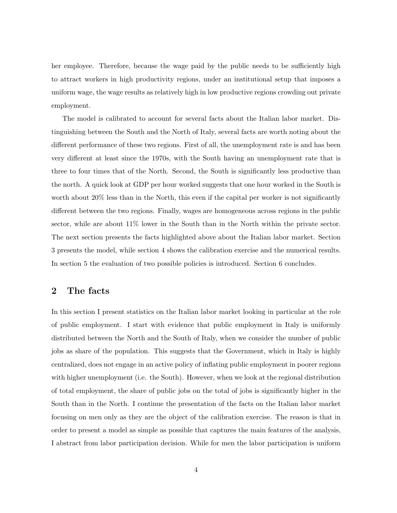her employee. Therefore, because the wage paid by the public needs to be sufficiently high to attract workers in high productivity regions, under an institutional setup that imposes a uniform wage, the wage results as relatively high in low productive regions crowding out private employment.

The model is calibrated to account for several facts about the Italian labor market. Distinguishing between the South and the North of Italy, several facts are worth noting about the different performance of these two regions. First of all, the unemployment rate is and has been very different at least since the 1970s, with the South having an unemployment rate that is three to four times that of the North. Second, the South is significantly less productive than the north. A quick look at GDP per hour worked suggests that one hour worked in the South is worth about 20% less than in the North, this even if the capital per worker is not significantly different between the two regions. Finally, wages are homogeneous across regions in the public sector, while are about 11% lower in the South than in the North within the private sector. The next section presents the facts highlighted above about the Italian labor market. Section 3 presents the model, while section 4 shows the calibration exercise and the numerical results. In section 5 the evaluation of two possible policies is introduced. Section 6 concludes.

### 2 The facts

In this section I present statistics on the Italian labor market looking in particular at the role of public employment. I start with evidence that public employment in Italy is uniformly distributed between the North and the South of Italy, when we consider the number of public jobs as share of the population. This suggests that the Government, which in Italy is highly centralized, does not engage in an active policy of inflating public employment in poorer regions with higher unemployment (i.e. the South). However, when we look at the regional distribution of total employment, the share of public jobs on the total of jobs is significantly higher in the South than in the North. I continue the presentation of the facts on the Italian labor market focusing on men only as they are the object of the calibration exercise. The reason is that in order to present a model as simple as possible that captures the main features of the analysis, I abstract from labor participation decision. While for men the labor participation is uniform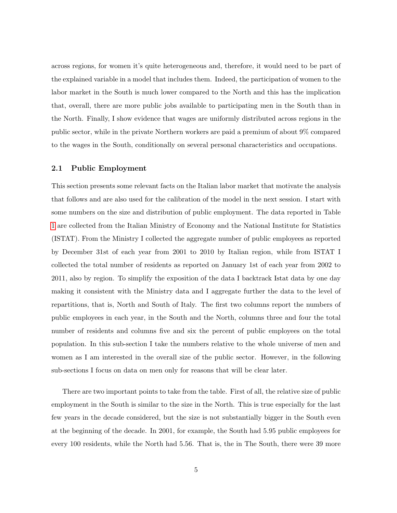across regions, for women it's quite heterogeneous and, therefore, it would need to be part of the explained variable in a model that includes them. Indeed, the participation of women to the labor market in the South is much lower compared to the North and this has the implication that, overall, there are more public jobs available to participating men in the South than in the North. Finally, I show evidence that wages are uniformly distributed across regions in the public sector, while in the private Northern workers are paid a premium of about 9% compared to the wages in the South, conditionally on several personal characteristics and occupations.

#### 2.1 Public Employment

This section presents some relevant facts on the Italian labor market that motivate the analysis that follows and are also used for the calibration of the model in the next session. I start with some numbers on the size and distribution of public employment. The data reported in Table [1](#page-7-0) are collected from the Italian Ministry of Economy and the National Institute for Statistics (ISTAT). From the Ministry I collected the aggregate number of public employees as reported by December 31st of each year from 2001 to 2010 by Italian region, while from ISTAT I collected the total number of residents as reported on January 1st of each year from 2002 to 2011, also by region. To simplify the exposition of the data I backtrack Istat data by one day making it consistent with the Ministry data and I aggregate further the data to the level of repartitions, that is, North and South of Italy. The first two columns report the numbers of public employees in each year, in the South and the North, columns three and four the total number of residents and columns five and six the percent of public employees on the total population. In this sub-section I take the numbers relative to the whole universe of men and women as I am interested in the overall size of the public sector. However, in the following sub-sections I focus on data on men only for reasons that will be clear later.

There are two important points to take from the table. First of all, the relative size of public employment in the South is similar to the size in the North. This is true especially for the last few years in the decade considered, but the size is not substantially bigger in the South even at the beginning of the decade. In 2001, for example, the South had 5.95 public employees for every 100 residents, while the North had 5.56. That is, the in The South, there were 39 more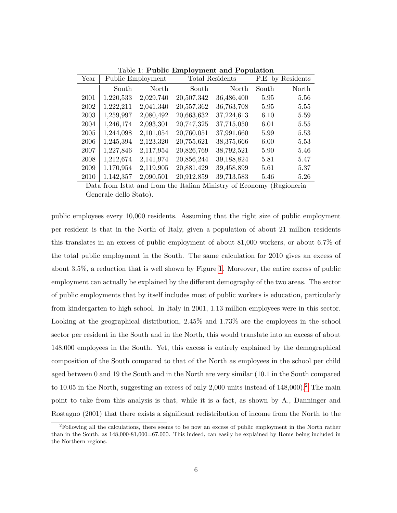| Year |           | Public Employment |            | Total Residents | P.E. by Residents |       |  |
|------|-----------|-------------------|------------|-----------------|-------------------|-------|--|
|      | South     | North             | South      | North           | South             | North |  |
| 2001 | 1,220,533 | 2,029,740         | 20,507,342 | 36,486,400      | 5.95              | 5.56  |  |
| 2002 | 1,222,211 | 2,041,340         | 20,557,362 | 36,763,708      | 5.95              | 5.55  |  |
| 2003 | 1,259,997 | 2,080,492         | 20,663,632 | 37,224,613      | 6.10              | 5.59  |  |
| 2004 | 1,246,174 | 2,093,301         | 20,747,325 | 37,715,050      | 6.01              | 5.55  |  |
| 2005 | 1,244,098 | 2,101,054         | 20,760,051 | 37,991,660      | 5.99              | 5.53  |  |
| 2006 | 1,245,394 | 2,123,320         | 20,755,621 | 38,375,666      | 6.00              | 5.53  |  |
| 2007 | 1,227,846 | 2,117,954         | 20,826,769 | 38,792,521      | 5.90              | 5.46  |  |
| 2008 | 1,212,674 | 2,141,974         | 20,856,244 | 39,188,824      | 5.81              | 5.47  |  |
| 2009 | 1,170,954 | 2,119,905         | 20,881,429 | 39,458,899      | 5.61              | 5.37  |  |
| 2010 | 1,142,357 | 2,090,501         | 20,912,859 | 39,713,583      | 5.46              | 5.26  |  |

<span id="page-7-0"></span>Table 1: Public Employment and Population

Data from Istat and from the Italian Ministry of Economy (Ragioneria Generale dello Stato).

public employees every 10,000 residents. Assuming that the right size of public employment per resident is that in the North of Italy, given a population of about 21 million residents this translates in an excess of public employment of about 81,000 workers, or about 6.7% of the total public employment in the South. The same calculation for 2010 gives an excess of about 3.5%, a reduction that is well shown by Figure [1.](#page-8-0) Moreover, the entire excess of public employment can actually be explained by the different demography of the two areas. The sector of public employments that by itself includes most of public workers is education, particularly from kindergarten to high school. In Italy in 2001, 1.13 million employees were in this sector. Looking at the geographical distribution, 2.45% and 1.73% are the employees in the school sector per resident in the South and in the North, this would translate into an excess of about 148,000 employees in the South. Yet, this excess is entirely explained by the demographical composition of the South compared to that of the North as employees in the school per child aged between 0 and 19 the South and in the North are very similar (10.1 in the South compared to 10.05 in the North, suggesting an excess of only  $2,000$  $2,000$  units instead of  $148,000$ ).<sup>2</sup> The main point to take from this analysis is that, while it is a fact, as shown by A., Danninger and Rostagno (2001) that there exists a significant redistribution of income from the North to the

<span id="page-7-1"></span> ${}^{2}$ Following all the calculations, there seems to be now an excess of public employment in the North rather than in the South, as 148,000-81,000=67,000. This indeed, can easily be explained by Rome being included in the Northern regions.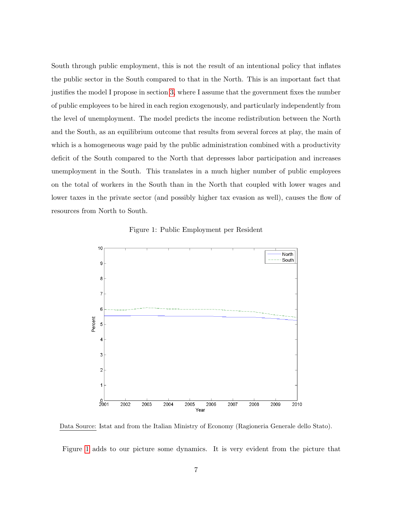South through public employment, this is not the result of an intentional policy that inflates the public sector in the South compared to that in the North. This is an important fact that justifies the model I propose in section [3,](#page-12-0) where I assume that the government fixes the number of public employees to be hired in each region exogenously, and particularly independently from the level of unemployment. The model predicts the income redistribution between the North and the South, as an equilibrium outcome that results from several forces at play, the main of which is a homogeneous wage paid by the public administration combined with a productivity deficit of the South compared to the North that depresses labor participation and increases unemployment in the South. This translates in a much higher number of public employees on the total of workers in the South than in the North that coupled with lower wages and lower taxes in the private sector (and possibly higher tax evasion as well), causes the flow of resources from North to South.

<span id="page-8-0"></span>Figure 1: Public Employment per Resident



Data Source: Istat and from the Italian Ministry of Economy (Ragioneria Generale dello Stato).

Figure [1](#page-8-0) adds to our picture some dynamics. It is very evident from the picture that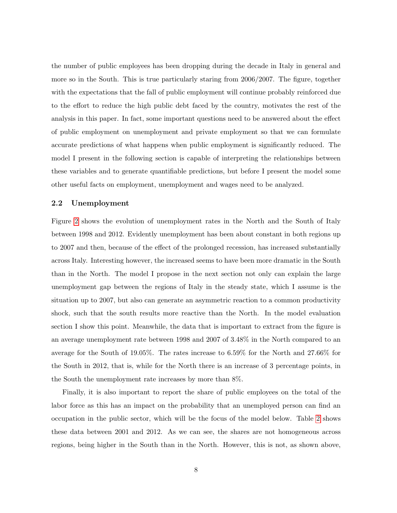the number of public employees has been dropping during the decade in Italy in general and more so in the South. This is true particularly staring from 2006/2007. The figure, together with the expectations that the fall of public employment will continue probably reinforced due to the effort to reduce the high public debt faced by the country, motivates the rest of the analysis in this paper. In fact, some important questions need to be answered about the effect of public employment on unemployment and private employment so that we can formulate accurate predictions of what happens when public employment is significantly reduced. The model I present in the following section is capable of interpreting the relationships between these variables and to generate quantifiable predictions, but before I present the model some other useful facts on employment, unemployment and wages need to be analyzed.

#### 2.2 Unemployment

Figure [2](#page-10-0) shows the evolution of unemployment rates in the North and the South of Italy between 1998 and 2012. Evidently unemployment has been about constant in both regions up to 2007 and then, because of the effect of the prolonged recession, has increased substantially across Italy. Interesting however, the increased seems to have been more dramatic in the South than in the North. The model I propose in the next section not only can explain the large unemployment gap between the regions of Italy in the steady state, which I assume is the situation up to 2007, but also can generate an asymmetric reaction to a common productivity shock, such that the south results more reactive than the North. In the model evaluation section I show this point. Meanwhile, the data that is important to extract from the figure is an average unemployment rate between 1998 and 2007 of 3.48% in the North compared to an average for the South of 19.05%. The rates increase to 6.59% for the North and 27.66% for the South in 2012, that is, while for the North there is an increase of 3 percentage points, in the South the unemployment rate increases by more than 8%.

Finally, it is also important to report the share of public employees on the total of the labor force as this has an impact on the probability that an unemployed person can find an occupation in the public sector, which will be the focus of the model below. Table [2](#page-11-0) shows these data between 2001 and 2012. As we can see, the shares are not homogeneous across regions, being higher in the South than in the North. However, this is not, as shown above,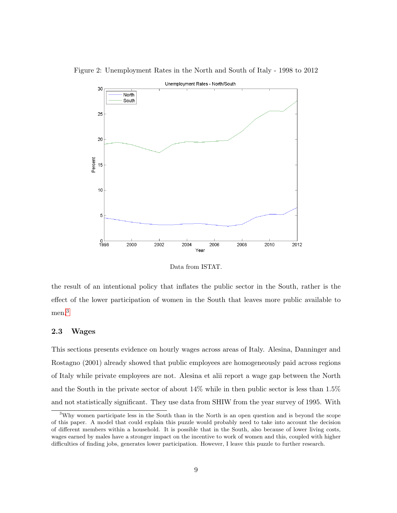<span id="page-10-0"></span>

Figure 2: Unemployment Rates in the North and South of Italy - 1998 to 2012

Data from ISTAT.

the result of an intentional policy that inflates the public sector in the South, rather is the effect of the lower participation of women in the South that leaves more public available to men.[3](#page-10-1)

#### 2.3 Wages

This sections presents evidence on hourly wages across areas of Italy. Alesina, Danninger and Rostagno (2001) already showed that public employees are homogeneously paid across regions of Italy while private employees are not. Alesina et alii report a wage gap between the North and the South in the private sector of about 14% while in then public sector is less than 1.5% and not statistically significant. They use data from SHIW from the year survey of 1995. With

<span id="page-10-1"></span><sup>3</sup>Why women participate less in the South than in the North is an open question and is beyond the scope of this paper. A model that could explain this puzzle would probably need to take into account the decision of different members within a household. It is possible that in the South, also because of lower living costs, wages earned by males have a stronger impact on the incentive to work of women and this, coupled with higher difficulties of finding jobs, generates lower participation. However, I leave this puzzle to further research.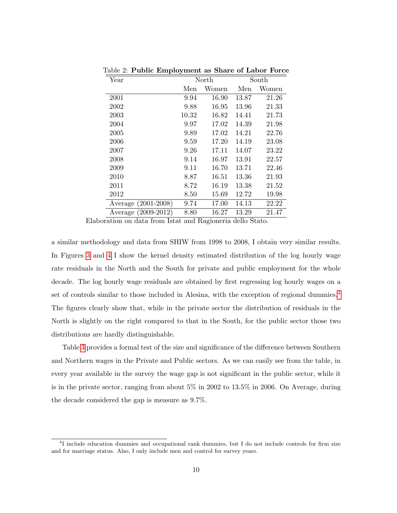| Year                |       | North |       | South |
|---------------------|-------|-------|-------|-------|
|                     | Men   | Women | Men   | Women |
| 2001                | 9.94  | 16.90 | 13.87 | 21.26 |
| 2002                | 9.88  | 16.95 | 13.96 | 21.33 |
| 2003                | 10.32 | 16.82 | 14.41 | 21.73 |
| 2004                | 9.97  | 17.02 | 14.39 | 21.98 |
| 2005                | 9.89  | 17.02 | 14.21 | 22.76 |
| 2006                | 9.59  | 17.20 | 14.19 | 23.08 |
| 2007                | 9.26  | 17.11 | 14.07 | 23.22 |
| 2008                | 9.14  | 16.97 | 13.91 | 22.57 |
| 2009                | 9.11  | 16.70 | 13.71 | 22.46 |
| 2010                | 8.87  | 16.51 | 13.36 | 21.93 |
| 2011                | 8.72  | 16.19 | 13.38 | 21.52 |
| 2012                | 8.50  | 15.69 | 12.72 | 19.98 |
| Average (2001-2008) | 9.74  | 17.00 | 14.13 | 22.22 |
| Average (2009-2012) | 8.80  | 16.27 | 13.29 | 21.47 |

<span id="page-11-0"></span>Table 2: Public Employment as Share of Labor Force

Elaboration on data from Istat and Ragioneria dello Stato.

a similar methodology and data from SHIW from 1998 to 2008, I obtain very similar results. In Figures [3](#page-12-1) and [4](#page-13-0) I show the kernel density estimated distribution of the log hourly wage rate residuals in the North and the South for private and public employment for the whole decade. The log hourly wage residuals are obtained by first regressing log hourly wages on a set of controls similar to those included in Alesina, with the exception of regional dummies.<sup>[4](#page-11-1)</sup> The figures clearly show that, while in the private sector the distribution of residuals in the North is slightly on the right compared to that in the South, for the public sector those two distributions are hardly distinguishable.

Table [3](#page-12-2) provides a formal test of the size and significance of the difference between Southern and Northern wages in the Private and Public sectors. As we can easily see from the table, in every year available in the survey the wage gap is not significant in the public sector, while it is in the private sector, ranging from about 5% in 2002 to 13.5% in 2006. On Average, during the decade considered the gap is measure as 9.7%.

<span id="page-11-1"></span><sup>4</sup> I include education dummies and occupational rank dummies, but I do not include controls for firm size and for marriage status. Also, I only include men and control for survey years.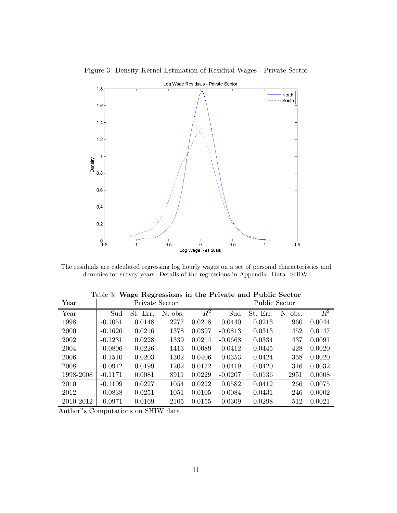

<span id="page-12-1"></span>Figure 3: Density Kernel Estimation of Residual Wages - Private Sector

The residuals are calculated regressing log hourly wages on a set of personal characteristics and dummies for survey years. Details of the regressions in Appendix. Data: SHIW.

| Year      | Private Sector |             |         |                  | Public Sector |          |         |                  |  |
|-----------|----------------|-------------|---------|------------------|---------------|----------|---------|------------------|--|
| Year      | Sud            | Err.<br>St. | N. obs. | $\overline{R^2}$ | Sud           | St. Err. | N. obs. | $\overline{R^2}$ |  |
| 1998      | $-0.1051$      | 0.0148      | 2277    | 0.0218           | 0.0440        | 0.0213   | 960     | 0.0044           |  |
| 2000      | $-0.1626$      | 0.0216      | 1378    | 0.0397           | $-0.0813$     | 0.0313   | 452     | 0.0147           |  |
| 2002      | $-0.1231$      | 0.0228      | 1339    | 0.0214           | $-0.0668$     | 0.0334   | 437     | 0.0091           |  |
| 2004      | $-0.0806$      | 0.0226      | 1413    | 0.0089           | $-0.0412$     | 0.0445   | 428     | 0.0020           |  |
| 2006      | $-0.1510$      | 0.0203      | 1302    | 0.0406           | $-0.0353$     | 0.0424   | 358     | 0.0020           |  |
| 2008      | $-0.0912$      | 0.0199      | 1202    | 0.0172           | $-0.0419$     | 0.0420   | 316     | 0.0032           |  |
| 1998-2008 | $-0.1171$      | 0.0081      | 8911    | 0.0229           | $-0.0207$     | 0.0136   | 2951    | 0.0008           |  |
| 2010      | $-0.1109$      | 0.0227      | 1054    | 0.0222           | 0.0582        | 0.0412   | 266     | 0.0075           |  |
| 2012      | $-0.0838$      | 0.0251      | 1051    | 0.0105           | $-0.0084$     | 0.0431   | 246     | 0.0002           |  |
| 2010-2012 | $-0.0971$      | 0.0169      | 2105    | 0.0155           | 0.0309        | 0.0298   | 512     | 0.0021           |  |

<span id="page-12-2"></span>Table 3: Wage Regressions in the Private and Public Sector

<span id="page-12-0"></span>Author"s Computations on SHIW data.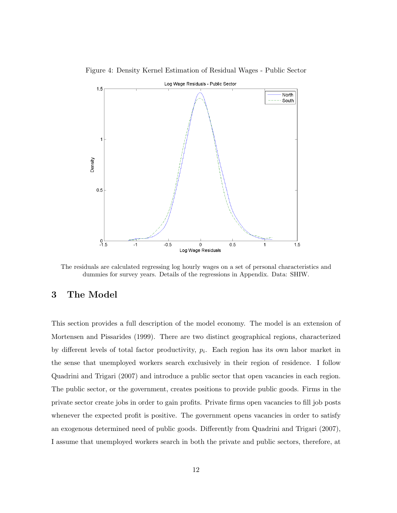

<span id="page-13-0"></span>Figure 4: Density Kernel Estimation of Residual Wages - Public Sector

The residuals are calculated regressing log hourly wages on a set of personal characteristics and dummies for survey years. Details of the regressions in Appendix. Data: SHIW.

# 3 The Model

This section provides a full description of the model economy. The model is an extension of Mortensen and Pissarides (1999). There are two distinct geographical regions, characterized by different levels of total factor productivity,  $p_i$ . Each region has its own labor market in the sense that unemployed workers search exclusively in their region of residence. I follow Quadrini and Trigari (2007) and introduce a public sector that open vacancies in each region. The public sector, or the government, creates positions to provide public goods. Firms in the private sector create jobs in order to gain profits. Private firms open vacancies to fill job posts whenever the expected profit is positive. The government opens vacancies in order to satisfy an exogenous determined need of public goods. Differently from Quadrini and Trigari (2007), I assume that unemployed workers search in both the private and public sectors, therefore, at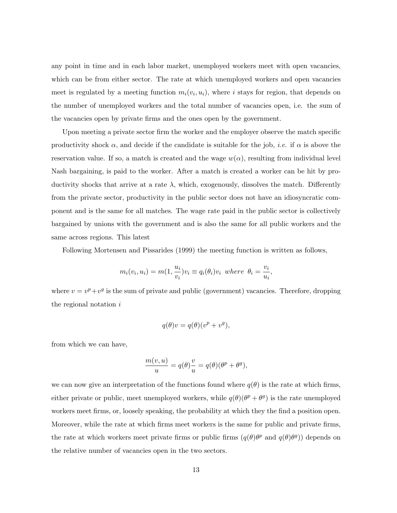any point in time and in each labor market, unemployed workers meet with open vacancies, which can be from either sector. The rate at which unemployed workers and open vacancies meet is regulated by a meeting function  $m_i(v_i, u_i)$ , where i stays for region, that depends on the number of unemployed workers and the total number of vacancies open, i.e. the sum of the vacancies open by private firms and the ones open by the government.

Upon meeting a private sector firm the worker and the employer observe the match specific productivity shock  $\alpha$ , and decide if the candidate is suitable for the job, *i.e.* if  $\alpha$  is above the reservation value. If so, a match is created and the wage  $w(\alpha)$ , resulting from individual level Nash bargaining, is paid to the worker. After a match is created a worker can be hit by productivity shocks that arrive at a rate  $\lambda$ , which, exogenously, dissolves the match. Differently from the private sector, productivity in the public sector does not have an idiosyncratic component and is the same for all matches. The wage rate paid in the public sector is collectively bargained by unions with the government and is also the same for all public workers and the same across regions. This latest

Following Mortensen and Pissarides (1999) the meeting function is written as follows,

$$
m_i(v_i, u_i) = m(1, \frac{u_i}{v_i})v_i \equiv q_i(\theta_i)v_i \text{ where } \theta_i = \frac{v_i}{u_i},
$$

where  $v = v^p + v^q$  is the sum of private and public (government) vacancies. Therefore, dropping the regional notation i

$$
q(\theta)v = q(\theta)(v^p + v^g),
$$

from which we can have,

$$
\frac{m(v, u)}{u} = q(\theta)\frac{v}{u} = q(\theta)(\theta^p + \theta^g),
$$

we can now give an interpretation of the functions found where  $q(\theta)$  is the rate at which firms, either private or public, meet unemployed workers, while  $q(\theta)(\theta^p + \theta^q)$  is the rate unemployed workers meet firms, or, loosely speaking, the probability at which they the find a position open. Moreover, while the rate at which firms meet workers is the same for public and private firms, the rate at which workers meet private firms or public firms  $(q(\theta)\theta^p$  and  $q(\theta)\theta^g)$  depends on the relative number of vacancies open in the two sectors.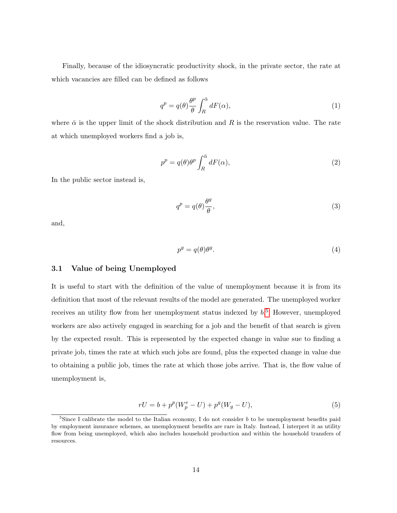Finally, because of the idiosyncratic productivity shock, in the private sector, the rate at which vacancies are filled can be defined as follows

$$
q^{p} = q(\theta) \frac{\theta^{p}}{\theta} \int_{R}^{\bar{\alpha}} dF(\alpha), \qquad (1)
$$

where  $\bar{\alpha}$  is the upper limit of the shock distribution and R is the reservation value. The rate at which unemployed workers find a job is,

$$
p^p = q(\theta)\theta^p \int_R^{\bar{\alpha}} dF(\alpha),\tag{2}
$$

In the public sector instead is,

$$
q^p = q(\theta) \frac{\theta^g}{\theta},\tag{3}
$$

and,

$$
p^g = q(\theta)\theta^g. \tag{4}
$$

#### 3.1 Value of being Unemployed

It is useful to start with the definition of the value of unemployment because it is from its definition that most of the relevant results of the model are generated. The unemployed worker receives an utility flow from her unemployment status indexed by  $b$ .<sup>[5](#page-15-0)</sup> However, unemployed workers are also actively engaged in searching for a job and the benefit of that search is given by the expected result. This is represented by the expected change in value sue to finding a private job, times the rate at which such jobs are found, plus the expected change in value due to obtaining a public job, times the rate at which those jobs arrive. That is, the flow value of unemployment is,

$$
rU = b + p^{p}(W_{p}^{e} - U) + p^{g}(W_{g} - U),
$$
\n(5)

<span id="page-15-0"></span><sup>&</sup>lt;sup>5</sup>Since I calibrate the model to the Italian economy, I do not consider b to be unemployment benefits paid by employment insurance schemes, as unemployment benefits are rare in Italy. Instead, I interpret it as utility flow from being unemployed, which also includes household production and within the household transfers of resources.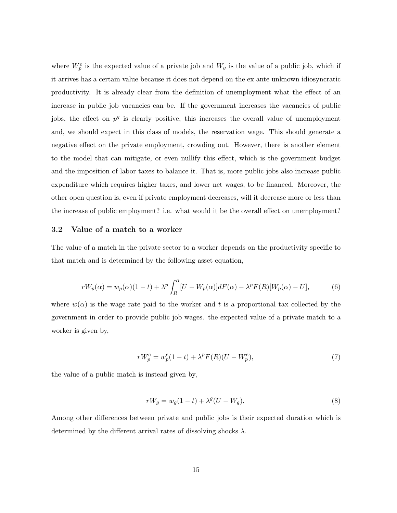where  $W_p^e$  is the expected value of a private job and  $W_g$  is the value of a public job, which if it arrives has a certain value because it does not depend on the ex ante unknown idiosyncratic productivity. It is already clear from the definition of unemployment what the effect of an increase in public job vacancies can be. If the government increases the vacancies of public jobs, the effect on  $p^g$  is clearly positive, this increases the overall value of unemployment and, we should expect in this class of models, the reservation wage. This should generate a negative effect on the private employment, crowding out. However, there is another element to the model that can mitigate, or even nullify this effect, which is the government budget and the imposition of labor taxes to balance it. That is, more public jobs also increase public expenditure which requires higher taxes, and lower net wages, to be financed. Moreover, the other open question is, even if private employment decreases, will it decrease more or less than the increase of public employment? i.e. what would it be the overall effect on unemployment?

#### 3.2 Value of a match to a worker

The value of a match in the private sector to a worker depends on the productivity specific to that match and is determined by the following asset equation,

$$
rW_p(\alpha) = w_p(\alpha)(1-t) + \lambda^p \int_R^{\bar{\alpha}} [U - W_p(\alpha)]dF(\alpha) - \lambda^p F(R)[W_p(\alpha) - U],
$$
 (6)

where  $w(\alpha)$  is the wage rate paid to the worker and t is a proportional tax collected by the government in order to provide public job wages. the expected value of a private match to a worker is given by,

$$
rW_p^e = w_p^e(1-t) + \lambda^p F(R)(U - W_p^e),\tag{7}
$$

the value of a public match is instead given by,

$$
rW_g = w_g(1-t) + \lambda^g(U - W_g),\tag{8}
$$

Among other differences between private and public jobs is their expected duration which is determined by the different arrival rates of dissolving shocks  $\lambda$ .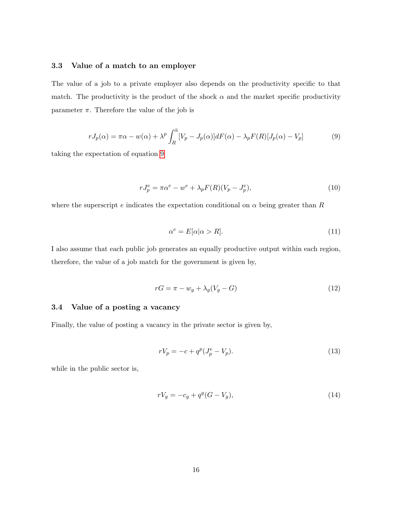#### 3.3 Value of a match to an employer

The value of a job to a private employer also depends on the productivity specific to that match. The productivity is the product of the shock  $\alpha$  and the market specific productivity parameter  $\pi$ . Therefore the value of the job is

<span id="page-17-0"></span>
$$
rJ_p(\alpha) = \pi \alpha - w(\alpha) + \lambda^p \int_R^{\bar{\alpha}} [V_p - J_p(\alpha)] dF(\alpha) - \lambda_p F(R) [J_p(\alpha) - V_p]
$$
(9)

taking the expectation of equation [9](#page-17-0)

$$
rJ_p^e = \pi \alpha^e - w^e + \lambda_p F(R)(V_p - J_p^e),\tag{10}
$$

where the superscript e indicates the expectation conditional on  $\alpha$  being greater than R

$$
\alpha^e = E[\alpha | \alpha > R]. \tag{11}
$$

I also assume that each public job generates an equally productive output within each region, therefore, the value of a job match for the government is given by,

$$
rG = \pi - w_g + \lambda_g (V_g - G) \tag{12}
$$

#### 3.4 Value of a posting a vacancy

Finally, the value of posting a vacancy in the private sector is given by,

$$
rV_p = -c + q^p(J_p^e - V_p). \tag{13}
$$

while in the public sector is,

$$
rV_g = -c_g + q^g(G - V_g),\tag{14}
$$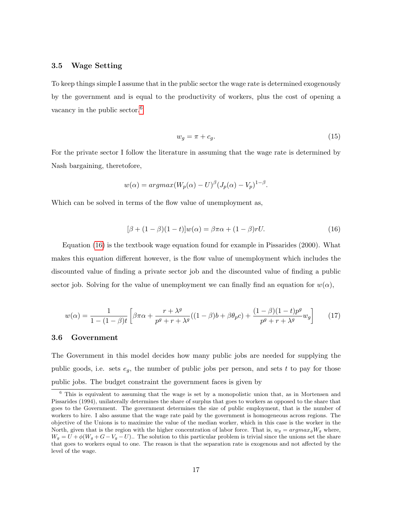#### 3.5 Wage Setting

To keep things simple I assume that in the public sector the wage rate is determined exogenously by the government and is equal to the productivity of workers, plus the cost of opening a vacancy in the public sector.<sup>[6](#page-18-0)</sup>

$$
w_g = \pi + c_g. \tag{15}
$$

For the private sector I follow the literature in assuming that the wage rate is determined by Nash bargaining, theretofore,

$$
w(\alpha) = argmax(W_p(\alpha) - U)^{\beta} (J_p(\alpha) - V_p)^{1-\beta}.
$$

Which can be solved in terms of the flow value of unemployment as,

<span id="page-18-1"></span>
$$
[\beta + (1 - \beta)(1 - t)]w(\alpha) = \beta \pi \alpha + (1 - \beta)rU.
$$
\n(16)

Equation [\(16\)](#page-18-1) is the textbook wage equation found for example in Pissarides (2000). What makes this equation different however, is the flow value of unemployment which includes the discounted value of finding a private sector job and the discounted value of finding a public sector job. Solving for the value of unemployment we can finally find an equation for  $w(\alpha)$ ,

$$
w(\alpha) = \frac{1}{1 - (1 - \beta)t} \left[ \beta \pi \alpha + \frac{r + \lambda^g}{p^g + r + \lambda^g} ((1 - \beta)b + \beta \theta_p c) + \frac{(1 - \beta)(1 - t)p^g}{p^g + r + \lambda^g} w_g \right]
$$
(17)

#### 3.6 Government

The Government in this model decides how many public jobs are needed for supplying the public goods, i.e. sets  $e_g$ , the number of public jobs per person, and sets t to pay for those public jobs. The budget constraint the government faces is given by

<span id="page-18-0"></span><sup>6</sup> This is equivalent to assuming that the wage is set by a monopolistic union that, as in Mortensen and Pissarides (1994), unilaterally determines the share of surplus that goes to workers as opposed to the share that goes to the Government. The government determines the size of public employment, that is the number of workers to hire. I also assume that the wage rate paid by the government is homogeneous across regions. The objective of the Unions is to maximize the value of the median worker, which in this case is the worker in the North, given that is the region with the higher concentration of labor force. That is,  $w_g = argmax_{\phi}W_g$  where,  $W_g = U + \phi (W_g + G - V_g - U)$ .. The solution to this particular problem is trivial since the unions set the share that goes to workers equal to one. The reason is that the separation rate is exogenous and not affected by the level of the wage.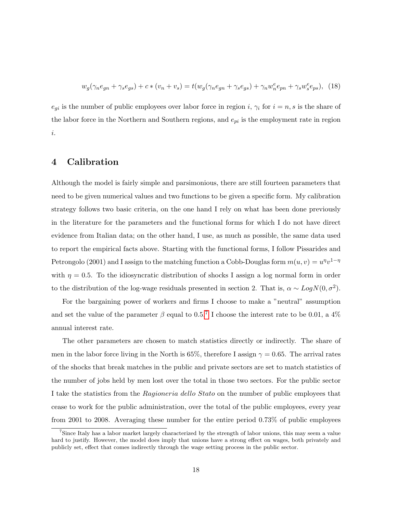$$
w_g(\gamma_n e_{gn} + \gamma_s e_{gs}) + c * (v_n + v_s) = t(w_g(\gamma_n e_{gn} + \gamma_s e_{gs}) + \gamma_n w_n^e e_{pn} + \gamma_s w_s^e e_{ps}), \tag{18}
$$

 $e_{gi}$  is the number of public employees over labor force in region i,  $\gamma_i$  for  $i = n, s$  is the share of the labor force in the Northern and Southern regions, and  $e_{pi}$  is the employment rate in region i.

### 4 Calibration

Although the model is fairly simple and parsimonious, there are still fourteen parameters that need to be given numerical values and two functions to be given a specific form. My calibration strategy follows two basic criteria, on the one hand I rely on what has been done previously in the literature for the parameters and the functional forms for which I do not have direct evidence from Italian data; on the other hand, I use, as much as possible, the same data used to report the empirical facts above. Starting with the functional forms, I follow Pissarides and Petrongolo (2001) and I assign to the matching function a Cobb-Douglas form  $m(u, v) = u^{\eta}v^{1-\eta}$ with  $\eta = 0.5$ . To the idiosyncratic distribution of shocks I assign a log normal form in order to the distribution of the log-wage residuals presented in section 2. That is,  $\alpha \sim LogN(0, \sigma^2)$ .

For the bargaining power of workers and firms I choose to make a "neutral" assumption and set the value of the parameter  $\beta$  equal to 0.5.<sup>[7](#page-19-0)</sup> I choose the interest rate to be 0.01, a 4% annual interest rate.

The other parameters are chosen to match statistics directly or indirectly. The share of men in the labor force living in the North is 65%, therefore I assign  $\gamma = 0.65$ . The arrival rates of the shocks that break matches in the public and private sectors are set to match statistics of the number of jobs held by men lost over the total in those two sectors. For the public sector I take the statistics from the Ragioneria dello Stato on the number of public employees that cease to work for the public administration, over the total of the public employees, every year from 2001 to 2008. Averaging these number for the entire period 0.73% of public employees

<span id="page-19-0"></span><sup>&</sup>lt;sup>7</sup>Since Italy has a labor market largely characterized by the strength of labor unions, this may seem a value hard to justify. However, the model does imply that unions have a strong effect on wages, both privately and publicly set, effect that comes indirectly through the wage setting process in the public sector.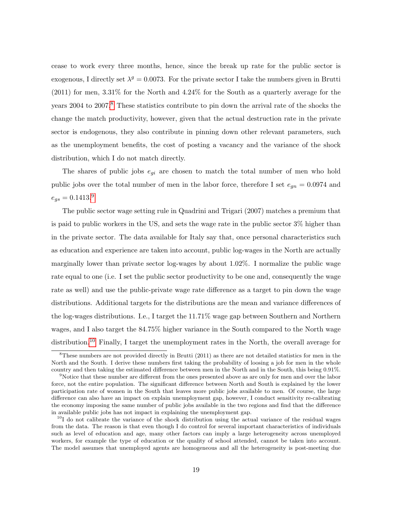cease to work every three months, hence, since the break up rate for the public sector is exogenous, I directly set  $\lambda^g = 0.0073$ . For the private sector I take the numbers given in Brutti (2011) for men, 3.31% for the North and 4.24% for the South as a quarterly average for the years 2004 to 2007.<sup>[8](#page-20-0)</sup> These statistics contribute to pin down the arrival rate of the shocks the change the match productivity, however, given that the actual destruction rate in the private sector is endogenous, they also contribute in pinning down other relevant parameters, such as the unemployment benefits, the cost of posting a vacancy and the variance of the shock distribution, which I do not match directly.

The shares of public jobs  $e_{gi}$  are chosen to match the total number of men who hold public jobs over the total number of men in the labor force, therefore I set  $e_{qn} = 0.0974$  and  $e_{gs} = 0.1413.^9$  $e_{gs} = 0.1413.^9$ 

The public sector wage setting rule in Quadrini and Trigari (2007) matches a premium that is paid to public workers in the US, and sets the wage rate in the public sector 3% higher than in the private sector. The data available for Italy say that, once personal characteristics such as education and experience are taken into account, public log-wages in the North are actually marginally lower than private sector log-wages by about 1.02%. I normalize the public wage rate equal to one (i.e. I set the public sector productivity to be one and, consequently the wage rate as well) and use the public-private wage rate difference as a target to pin down the wage distributions. Additional targets for the distributions are the mean and variance differences of the log-wages distributions. I.e., I target the 11.71% wage gap between Southern and Northern wages, and I also target the 84.75% higher variance in the South compared to the North wage distribution.<sup>[10](#page-20-2)</sup> Finally, I target the unemployment rates in the North, the overall average for

<span id="page-20-0"></span><sup>8</sup>These numbers are not provided directly in Brutti (2011) as there are not detailed statistics for men in the North and the South. I derive these numbers first taking the probability of loosing a job for men in the whole country and then taking the estimated difference between men in the North and in the South, this being 0.91%.

<span id="page-20-1"></span><sup>&</sup>lt;sup>9</sup>Notice that these number are different from the ones presented above as are only for men and over the labor force, not the entire population. The significant difference between North and South is explained by the lower participation rate of women in the South that leaves more public jobs available to men. Of course, the large difference can also have an impact on explain unemployment gap, however, I conduct sensitivity re-calibrating the economy imposing the same number of public jobs available in the two regions and find that the difference in available public jobs has not impact in explaining the unemployment gap.

<span id="page-20-2"></span> $10<sup>10</sup>$ I do not calibrate the variance of the shock distribution using the actual variance of the residual wages from the data. The reason is that even though I do control for several important characteristics of individuals such as level of education and age, many other factors can imply a large heterogeneity across unemployed workers, for example the type of education or the quality of school attended, cannot be taken into account. The model assumes that unemployed agents are homogeneous and all the heterogeneity is post-meeting due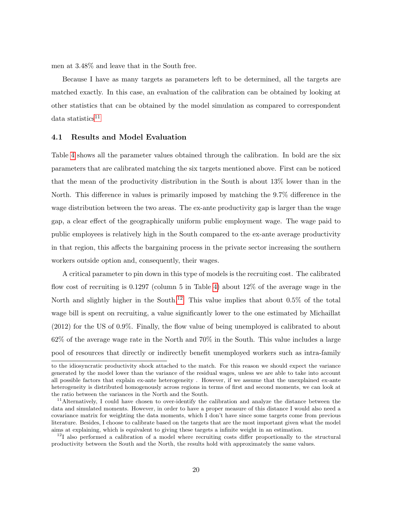men at 3.48% and leave that in the South free.

Because I have as many targets as parameters left to be determined, all the targets are matched exactly. In this case, an evaluation of the calibration can be obtained by looking at other statistics that can be obtained by the model simulation as compared to correspondent  $data$  statistics<sup>[11](#page-21-0)</sup>

#### 4.1 Results and Model Evaluation

Table [4](#page-22-0) shows all the parameter values obtained through the calibration. In bold are the six parameters that are calibrated matching the six targets mentioned above. First can be noticed that the mean of the productivity distribution in the South is about 13% lower than in the North. This difference in values is primarily imposed by matching the 9.7% difference in the wage distribution between the two areas. The ex-ante productivity gap is larger than the wage gap, a clear effect of the geographically uniform public employment wage. The wage paid to public employees is relatively high in the South compared to the ex-ante average productivity in that region, this affects the bargaining process in the private sector increasing the southern workers outside option and, consequently, their wages.

A critical parameter to pin down in this type of models is the recruiting cost. The calibrated flow cost of recruiting is 0.1297 (column 5 in Table [4\)](#page-22-0) about 12% of the average wage in the North and slightly higher in the South.<sup>[12](#page-21-1)</sup> This value implies that about 0.5% of the total wage bill is spent on recruiting, a value significantly lower to the one estimated by Michaillat (2012) for the US of 0.9%. Finally, the flow value of being unemployed is calibrated to about 62% of the average wage rate in the North and 70% in the South. This value includes a large pool of resources that directly or indirectly benefit unemployed workers such as intra-family

to the idiosyncratic productivity shock attached to the match. For this reason we should expect the variance generated by the model lower than the variance of the residual wages, unless we are able to take into account all possible factors that explain ex-ante heterogeneity . However, if we assume that the unexplained ex-ante heterogeneity is distributed homogenously across regions in terms of first and second moments, we can look at the ratio between the variances in the North and the South.

<span id="page-21-0"></span><sup>&</sup>lt;sup>11</sup>Alternatively, I could have chosen to over-identify the calibration and analyze the distance between the data and simulated moments. However, in order to have a proper measure of this distance I would also need a covariance matrix for weighting the data moments, which I don't have since some targets come from previous literature. Besides, I choose to calibrate based on the targets that are the most important given what the model aims at explaining, which is equivalent to giving these targets a infinite weight in an estimation.

<span id="page-21-1"></span> $12$ I also performed a calibration of a model where recruiting costs differ proportionally to the structural productivity between the South and the North, the results hold with approximately the same values.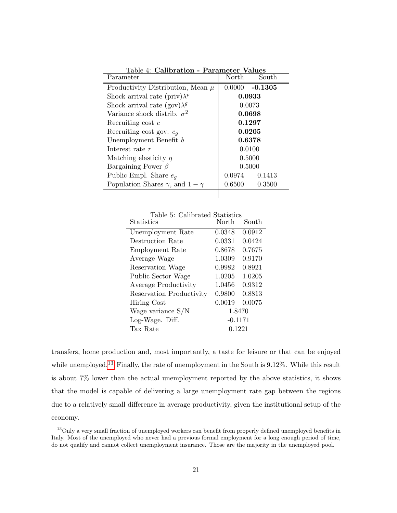<span id="page-22-0"></span>

| Table 4: Calibration - Parameter Values       |        |                   |
|-----------------------------------------------|--------|-------------------|
| Parameter                                     | North  | South             |
| Productivity Distribution, Mean $\mu$         |        | $0.0000 - 0.1305$ |
| Shock arrival rate (priv) $\lambda^p$         | 0.0933 |                   |
| Shock arrival rate $(gov) \lambda^g$          |        | 0.0073            |
| Variance shock distrib. $\sigma^2$            | 0.0698 |                   |
| Recruiting cost c                             |        | 0.1297            |
| Recruiting cost gov. $c_q$                    | 0.0205 |                   |
| Unemployment Benefit b                        | 0.6378 |                   |
| Interest rate r                               |        | 0.0100            |
| Matching elasticity $\eta$                    |        | 0.5000            |
| Bargaining Power $\beta$                      |        | 0.5000            |
| Public Empl. Share $e_q$                      | 0.0974 | 0.1413            |
| Population Shares $\gamma$ , and $1 - \gamma$ | 0.6500 | 0.3500            |
|                                               |        |                   |

Table 5: Calibrated Statistics

| <b>Statistics</b>        | North     | South  |  |  |
|--------------------------|-----------|--------|--|--|
| Unemployment Rate        | 0.0348    | 0.0912 |  |  |
| Destruction Rate         | 0.0331    | 0.0424 |  |  |
| Employment Rate          | 0.8678    | 0.7675 |  |  |
| Average Wage             | 1.0309    | 0.9170 |  |  |
| Reservation Wage         | 0.9982    | 0.8921 |  |  |
| Public Sector Wage       | 1.0205    | 1.0205 |  |  |
| Average Productivity     | 1.0456    | 0.9312 |  |  |
| Reservation Productivity | 0.9800    | 0.8813 |  |  |
| Hiring Cost              | 0.0019    | 0.0075 |  |  |
| Wage variance $S/N$      |           | 1.8470 |  |  |
| Log-Wage. Diff.          | $-0.1171$ |        |  |  |
| Tax Rate                 | 0.1221    |        |  |  |

transfers, home production and, most importantly, a taste for leisure or that can be enjoyed while unemployed.<sup>[13](#page-22-1)</sup> Finally, the rate of unemployment in the South is 9.12%. While this result is about 7% lower than the actual unemployment reported by the above statistics, it shows that the model is capable of delivering a large unemployment rate gap between the regions due to a relatively small difference in average productivity, given the institutional setup of the economy.

<span id="page-22-1"></span><sup>&</sup>lt;sup>13</sup>Only a very small fraction of unemployed workers can benefit from properly defined unemployed benefits in Italy. Most of the unemployed who never had a previous formal employment for a long enough period of time, do not qualify and cannot collect unemployment insurance. Those are the majority in the unemployed pool.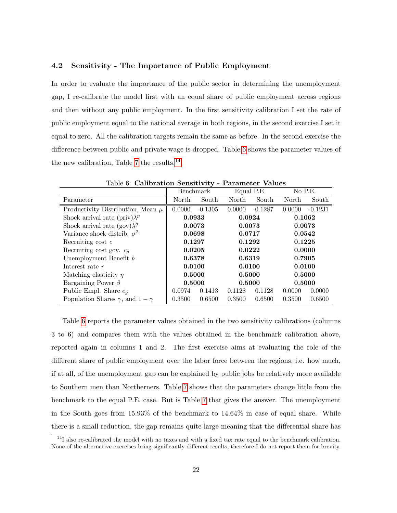#### 4.2 Sensitivity - The Importance of Public Employment

In order to evaluate the importance of the public sector in determining the unemployment gap, I re-calibrate the model first with an equal share of public employment across regions and then without any public employment. In the first sensitivity calibration I set the rate of public employment equal to the national average in both regions, in the second exercise I set it equal to zero. All the calibration targets remain the same as before. In the second exercise the difference between public and private wage is dropped. Table [6](#page-23-0) shows the parameter values of the new calibration, Table [7](#page-24-0) the results.[14](#page-23-1)

|                                               | <b>Benchmark</b> |           | Equal P.E |           | No P.E. |           |
|-----------------------------------------------|------------------|-----------|-----------|-----------|---------|-----------|
| Parameter                                     | North            | South     | North     | South     | North   | South     |
| Productivity Distribution, Mean $\mu$         | 0.0000           | $-0.1305$ | 0.0000    | $-0.1287$ | 0.0000  | $-0.1231$ |
| Shock arrival rate (priv) $\lambda^p$         | 0.0933           |           | 0.0924    |           | 0.1062  |           |
| Shock arrival rate (gov) $\lambda^g$          | 0.0073           |           | 0.0073    |           | 0.0073  |           |
| Variance shock distrib. $\sigma^2$            | 0.0698           |           | 0.0717    |           | 0.0542  |           |
| Recruiting cost $c$                           | 0.1297           |           | 0.1292    |           | 0.1225  |           |
| Recruiting cost gov. $c_q$                    | 0.0205           |           | 0.0222    |           | 0.0000  |           |
| Unemployment Benefit b                        | 0.6378           |           | 0.6319    |           | 0.7905  |           |
| Interest rate $r$                             | 0.0100           |           | 0.0100    |           | 0.0100  |           |
| Matching elasticity $\eta$                    | 0.5000           |           | 0.5000    |           | 0.5000  |           |
| Bargaining Power $\beta$                      | 0.5000           |           | 0.5000    |           | 0.5000  |           |
| Public Empl. Share $e_q$                      | 0.0974           | 0.1413    | 0.1128    | 0.1128    | 0.0000  | 0.0000    |
| Population Shares $\gamma$ , and $1 - \gamma$ | 0.3500           | 0.6500    | 0.3500    | 0.6500    | 0.3500  | 0.6500    |

<span id="page-23-0"></span>Table 6: Calibration Sensitivity - Parameter Values

Table [6](#page-23-0) reports the parameter values obtained in the two sensitivity calibrations (columns 3 to 6) and compares them with the values obtained in the benchmark calibration above, reported again in columns 1 and 2. The first exercise aims at evaluating the role of the different share of public employment over the labor force between the regions, i.e. how much, if at all, of the unemployment gap can be explained by public jobs be relatively more available to Southern men than Northerners. Table [7](#page-24-0) shows that the parameters change little from the benchmark to the equal P.E. case. But is Table [7](#page-24-0) that gives the answer. The unemployment in the South goes from 15.93% of the benchmark to 14.64% in case of equal share. While there is a small reduction, the gap remains quite large meaning that the differential share has

<span id="page-23-1"></span><sup>&</sup>lt;sup>14</sup>I also re-calibrated the model with no taxes and with a fixed tax rate equal to the benchmark calibration. None of the alternative exercises bring significantly different results, therefore I do not report them for brevity.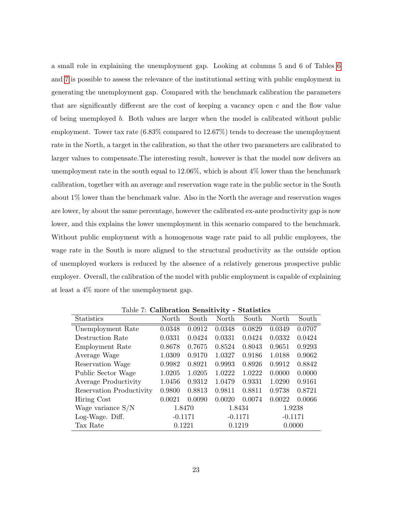a small role in explaining the unemployment gap. Looking at columns 5 and 6 of Tables [6](#page-23-0) and [7](#page-24-0) is possible to assess the relevance of the institutional setting with public employment in generating the unemployment gap. Compared with the benchmark calibration the parameters that are significantly different are the cost of keeping a vacancy open  $c$  and the flow value of being unemployed b. Both values are larger when the model is calibrated without public employment. Tower tax rate (6.83% compared to 12.67%) tends to decrease the unemployment rate in the North, a target in the calibration, so that the other two parameters are calibrated to larger values to compensate.The interesting result, however is that the model now delivers an unemployment rate in the south equal to  $12.06\%$ , which is about  $4\%$  lower than the benchmark calibration, together with an average and reservation wage rate in the public sector in the South about 1% lower than the benchmark value. Also in the North the average and reservation wages are lower, by about the same percentage, however the calibrated ex-ante productivity gap is now lower, and this explains the lower unemployment in this scenario compared to the benchmark. Without public employment with a homogenous wage rate paid to all public employees, the wage rate in the South is more aligned to the structural productivity as the outside option of unemployed workers is reduced by the absence of a relatively generous prospective public employer. Overall, the calibration of the model with public employment is capable of explaining at least a 4% more of the unemployment gap.

| Statistics               | North     | South  | North     | South  | North     | South  |  |  |
|--------------------------|-----------|--------|-----------|--------|-----------|--------|--|--|
| Unemployment Rate        | 0.0348    | 0.0912 | 0.0348    | 0.0829 | 0.0349    | 0.0707 |  |  |
| Destruction Rate         | 0.0331    | 0.0424 | 0.0331    | 0.0424 | 0.0332    | 0.0424 |  |  |
| Employment Rate          | 0.8678    | 0.7675 | 0.8524    | 0.8043 | 0.9651    | 0.9293 |  |  |
| Average Wage             | 1.0309    | 0.9170 | 1.0327    | 0.9186 | 1.0188    | 0.9062 |  |  |
| Reservation Wage         | 0.9982    | 0.8921 | 0.9993    | 0.8926 | 0.9912    | 0.8842 |  |  |
| Public Sector Wage       | 1.0205    | 1.0205 | 1.0222    | 1.0222 | 0.0000    | 0.0000 |  |  |
| Average Productivity     | 1.0456    | 0.9312 | 1.0479    | 0.9331 | 1.0290    | 0.9161 |  |  |
| Reservation Productivity | 0.9800    | 0.8813 | 0.9811    | 0.8811 | 0.9738    | 0.8721 |  |  |
| Hiring Cost              | 0.0021    | 0.0090 | 0.0020    | 0.0074 | 0.0022    | 0.0066 |  |  |
| Wage variance $S/N$      | 1.8470    |        | 1.8434    |        | 1.9238    |        |  |  |
| Log-Wage. Diff.          | $-0.1171$ |        | $-0.1171$ |        | $-0.1171$ |        |  |  |
| Tax Rate                 | 0.1221    |        |           | 0.1219 |           | 0.0000 |  |  |

<span id="page-24-0"></span>Table 7: Calibration Sensitivity - Statistics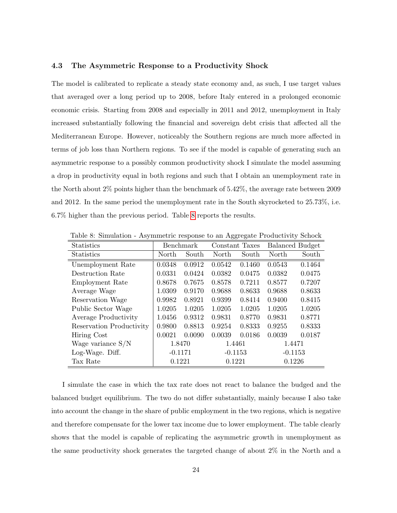#### 4.3 The Asymmetric Response to a Productivity Shock

The model is calibrated to replicate a steady state economy and, as such, I use target values that averaged over a long period up to 2008, before Italy entered in a prolonged economic economic crisis. Starting from 2008 and especially in 2011 and 2012, unemployment in Italy increased substantially following the financial and sovereign debt crisis that affected all the Mediterranean Europe. However, noticeably the Southern regions are much more affected in terms of job loss than Northern regions. To see if the model is capable of generating such an asymmetric response to a possibly common productivity shock I simulate the model assuming a drop in productivity equal in both regions and such that I obtain an unemployment rate in the North about 2% points higher than the benchmark of 5.42%, the average rate between 2009 and 2012. In the same period the unemployment rate in the South skyrocketed to 25.73%, i.e. 6.7% higher than the previous period. Table [8](#page-25-0) reports the results.

| <b>Statistics</b>        |        | Benchmark | Constant Taxes |           | <b>Balanced Budget</b> |           |  |
|--------------------------|--------|-----------|----------------|-----------|------------------------|-----------|--|
| <b>Statistics</b>        | North  | South     | North          | South     | North                  | South     |  |
| Unemployment Rate        | 0.0348 | 0.0912    | 0.0542         | 0.1460    | 0.0543                 | 0.1464    |  |
| Destruction Rate         | 0.0331 | 0.0424    | 0.0382         | 0.0475    | 0.0382                 | 0.0475    |  |
| Employment Rate          | 0.8678 | 0.7675    | 0.8578         | 0.7211    | 0.8577                 | 0.7207    |  |
| Average Wage             | 1.0309 | 0.9170    | 0.9688         | 0.8633    | 0.9688                 | 0.8633    |  |
| Reservation Wage         | 0.9982 | 0.8921    | 0.9399         | 0.8414    | 0.9400                 | 0.8415    |  |
| Public Sector Wage       | 1.0205 | 1.0205    | 1.0205         | 1.0205    | 1.0205                 | 1.0205    |  |
| Average Productivity     | 1.0456 | 0.9312    | 0.9831         | 0.8770    | 0.9831                 | 0.8771    |  |
| Reservation Productivity | 0.9800 | 0.8813    | 0.9254         | 0.8333    | 0.9255                 | 0.8333    |  |
| Hiring Cost              | 0.0021 | 0.0090    | 0.0039         | 0.0186    | 0.0039                 | 0.0187    |  |
| Wage variance $S/N$      | 1.8470 |           | 1.4461         |           | 1.4471                 |           |  |
| Log-Wage. Diff.          |        | $-0.1171$ |                | $-0.1153$ |                        | $-0.1153$ |  |
| Tax Rate                 | 0.1221 |           | 0.1221         |           | 0.1226                 |           |  |

<span id="page-25-0"></span>Table 8: Simulation - Asymmetric response to an Aggregate Productivity Schock

I simulate the case in which the tax rate does not react to balance the budged and the balanced budget equilibrium. The two do not differ substantially, mainly because I also take into account the change in the share of public employment in the two regions, which is negative and therefore compensate for the lower tax income due to lower employment. The table clearly shows that the model is capable of replicating the asymmetric growth in unemployment as the same productivity shock generates the targeted change of about 2% in the North and a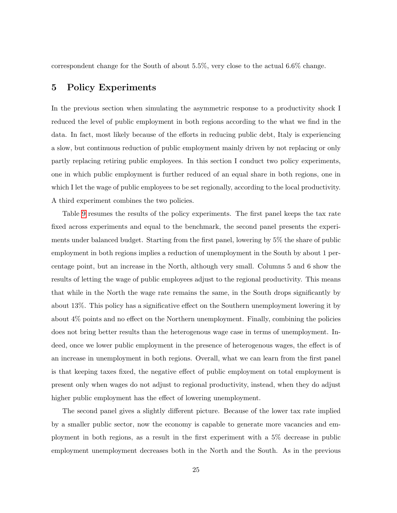correspondent change for the South of about 5.5%, very close to the actual 6.6% change.

### 5 Policy Experiments

In the previous section when simulating the asymmetric response to a productivity shock I reduced the level of public employment in both regions according to the what we find in the data. In fact, most likely because of the efforts in reducing public debt, Italy is experiencing a slow, but continuous reduction of public employment mainly driven by not replacing or only partly replacing retiring public employees. In this section I conduct two policy experiments, one in which public employment is further reduced of an equal share in both regions, one in which I let the wage of public employees to be set regionally, according to the local productivity. A third experiment combines the two policies.

Table [9](#page-27-0) resumes the results of the policy experiments. The first panel keeps the tax rate fixed across experiments and equal to the benchmark, the second panel presents the experiments under balanced budget. Starting from the first panel, lowering by 5% the share of public employment in both regions implies a reduction of unemployment in the South by about 1 percentage point, but an increase in the North, although very small. Columns 5 and 6 show the results of letting the wage of public employees adjust to the regional productivity. This means that while in the North the wage rate remains the same, in the South drops significantly by about 13%. This policy has a significative effect on the Southern unemployment lowering it by about 4% points and no effect on the Northern unemployment. Finally, combining the policies does not bring better results than the heterogenous wage case in terms of unemployment. Indeed, once we lower public employment in the presence of heterogenous wages, the effect is of an increase in unemployment in both regions. Overall, what we can learn from the first panel is that keeping taxes fixed, the negative effect of public employment on total employment is present only when wages do not adjust to regional productivity, instead, when they do adjust higher public employment has the effect of lowering unemployment.

The second panel gives a slightly different picture. Because of the lower tax rate implied by a smaller public sector, now the economy is capable to generate more vacancies and employment in both regions, as a result in the first experiment with a 5% decrease in public employment unemployment decreases both in the North and the South. As in the previous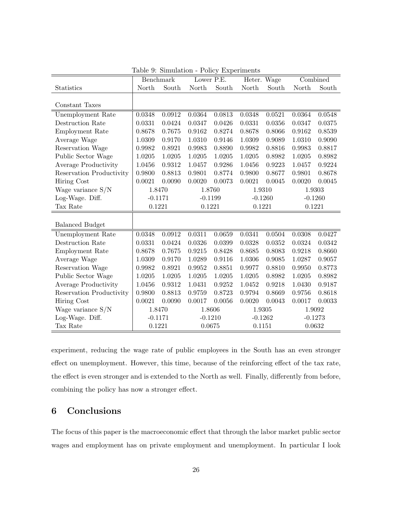|                          |        | Benchmark |           | Lower P.E. | Heter. Wage |           | Combined  |           |
|--------------------------|--------|-----------|-----------|------------|-------------|-----------|-----------|-----------|
| Statistics               | North  | South     | North     | South      | North       | South     | North     | South     |
|                          |        |           |           |            |             |           |           |           |
| Constant Taxes           |        |           |           |            |             |           |           |           |
| Unemployment Rate        | 0.0348 | 0.0912    | 0.0364    | 0.0813     | 0.0348      | 0.0521    | 0.0364    | 0.0548    |
| Destruction Rate         | 0.0331 | 0.0424    | 0.0347    | 0.0426     | 0.0331      | 0.0356    | 0.0347    | 0.0375    |
| Employment Rate          | 0.8678 | 0.7675    | 0.9162    | 0.8274     | 0.8678      | 0.8066    | 0.9162    | 0.8539    |
| Average Wage             | 1.0309 | 0.9170    | 1.0310    | 0.9146     | 1.0309      | 0.9089    | 1.0310    | 0.9090    |
| Reservation Wage         | 0.9982 | 0.8921    | 0.9983    | 0.8890     | 0.9982      | 0.8816    | 0.9983    | 0.8817    |
| Public Sector Wage       | 1.0205 | 1.0205    | 1.0205    | 1.0205     | 1.0205      | 0.8982    | 1.0205    | 0.8982    |
| Average Productivity     | 1.0456 | 0.9312    | 1.0457    | 0.9286     | 1.0456      | 0.9223    | 1.0457    | 0.9224    |
| Reservation Productivity | 0.9800 | 0.8813    | 0.9801    | 0.8774     | 0.9800      | 0.8677    | 0.9801    | 0.8678    |
| Hiring Cost              | 0.0021 | 0.0090    | 0.0020    | 0.0073     | 0.0021      | 0.0045    | 0.0020    | 0.0045    |
| Wage variance $S/N$      | 1.8470 |           | 1.8760    |            | 1.9310      |           | 1.9303    |           |
| Log-Wage. Diff.          |        | $-0.1171$ | $-0.1199$ |            | $-0.1260$   |           | $-0.1260$ |           |
| Tax Rate                 |        | 0.1221    | 0.1221    |            | 0.1221      |           | 0.1221    |           |
|                          |        |           |           |            |             |           |           |           |
| <b>Balanced Budget</b>   |        |           |           |            |             |           |           |           |
| Unemployment Rate        | 0.0348 | 0.0912    | 0.0311    | 0.0659     | 0.0341      | 0.0504    | 0.0308    | 0.0427    |
| Destruction Rate         | 0.0331 | 0.0424    | 0.0326    | 0.0399     | 0.0328      | 0.0352    | 0.0324    | 0.0342    |
| Employment Rate          | 0.8678 | 0.7675    | 0.9215    | 0.8428     | 0.8685      | 0.8083    | 0.9218    | 0.8660    |
| Average Wage             | 1.0309 | 0.9170    | 1.0289    | 0.9116     | 1.0306      | 0.9085    | 1.0287    | 0.9057    |
| Reservation Wage         | 0.9982 | 0.8921    | 0.9952    | 0.8851     | 0.9977      | 0.8810    | 0.9950    | 0.8773    |
| Public Sector Wage       | 1.0205 | 1.0205    | 1.0205    | 1.0205     | 1.0205      | 0.8982    | 1.0205    | 0.8982    |
| Average Productivity     | 1.0456 | 0.9312    | 1.0431    | 0.9252     | 1.0452      | 0.9218    | 1.0430    | 0.9187    |
| Reservation Productivity | 0.9800 | 0.8813    | 0.9759    | 0.8723     | 0.9794      | 0.8669    | 0.9756    | 0.8618    |
| Hiring Cost              | 0.0021 | 0.0090    | 0.0017    | 0.0056     | 0.0020      | 0.0043    | 0.0017    | 0.0033    |
| Wage variance S/N        |        | 1.8470    |           | 1.8606     | 1.9305      |           | 1.9092    |           |
| Log-Wage. Diff.          |        | $-0.1171$ |           | $-0.1210$  |             | $-0.1262$ |           | $-0.1273$ |
| Tax Rate                 | 0.1221 |           |           | 0.0675     | 0.1151      |           | 0.0632    |           |

<span id="page-27-0"></span>Table 9: Simulation - Policy Experiments

experiment, reducing the wage rate of public employees in the South has an even stronger effect on unemployment. However, this time, because of the reinforcing effect of the tax rate, the effect is even stronger and is extended to the North as well. Finally, differently from before, combining the policy has now a stronger effect.

# 6 Conclusions

The focus of this paper is the macroeconomic effect that through the labor market public sector wages and employment has on private employment and unemployment. In particular I look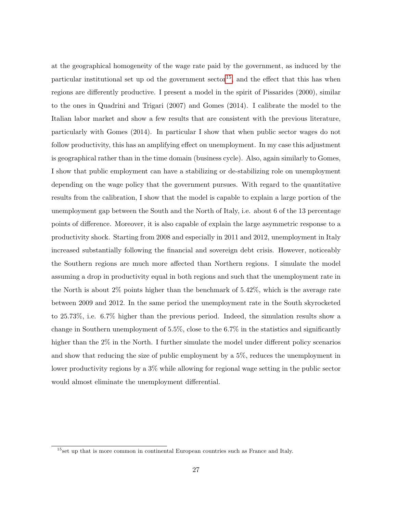at the geographical homogeneity of the wage rate paid by the government, as induced by the particular institutional set up od the government  ${\rm sector}^{15}$  ${\rm sector}^{15}$  ${\rm sector}^{15}$ , and the effect that this has when regions are differently productive. I present a model in the spirit of Pissarides (2000), similar to the ones in Quadrini and Trigari (2007) and Gomes (2014). I calibrate the model to the Italian labor market and show a few results that are consistent with the previous literature, particularly with Gomes (2014). In particular I show that when public sector wages do not follow productivity, this has an amplifying effect on unemployment. In my case this adjustment is geographical rather than in the time domain (business cycle). Also, again similarly to Gomes, I show that public employment can have a stabilizing or de-stabilizing role on unemployment depending on the wage policy that the government pursues. With regard to the quantitative results from the calibration, I show that the model is capable to explain a large portion of the unemployment gap between the South and the North of Italy, i.e. about 6 of the 13 percentage points of difference. Moreover, it is also capable of explain the large asymmetric response to a productivity shock. Starting from 2008 and especially in 2011 and 2012, unemployment in Italy increased substantially following the financial and sovereign debt crisis. However, noticeably the Southern regions are much more affected than Northern regions. I simulate the model assuming a drop in productivity equal in both regions and such that the unemployment rate in the North is about 2% points higher than the benchmark of 5.42%, which is the average rate between 2009 and 2012. In the same period the unemployment rate in the South skyrocketed to 25.73%, i.e. 6.7% higher than the previous period. Indeed, the simulation results show a change in Southern unemployment of 5.5%, close to the 6.7% in the statistics and significantly higher than the 2% in the North. I further simulate the model under different policy scenarios and show that reducing the size of public employment by a 5%, reduces the unemployment in lower productivity regions by a 3% while allowing for regional wage setting in the public sector would almost eliminate the unemployment differential.

<span id="page-28-0"></span><sup>&</sup>lt;sup>15</sup>set up that is more common in continental European countries such as France and Italy.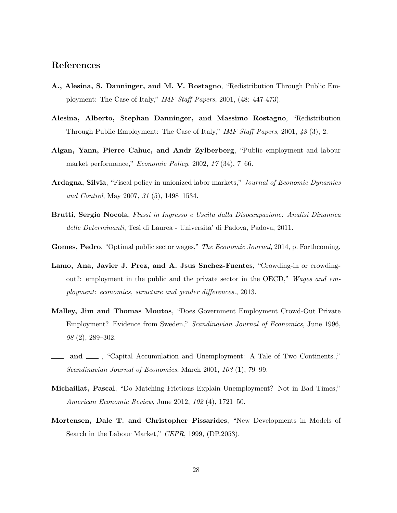### References

- A., Alesina, S. Danninger, and M. V. Rostagno, "Redistribution Through Public Employment: The Case of Italy," IMF Staff Papers, 2001, (48: 447-473).
- Alesina, Alberto, Stephan Danninger, and Massimo Rostagno, "Redistribution Through Public Employment: The Case of Italy," IMF Staff Papers, 2001, 48 (3), 2.
- Algan, Yann, Pierre Cahuc, and Andr Zylberberg, "Public employment and labour market performance," Economic Policy, 2002, 17 (34), 7–66.
- Ardagna, Silvia, "Fiscal policy in unionized labor markets," Journal of Economic Dynamics and Control, May 2007, 31 (5), 1498–1534.
- Brutti, Sergio Nocola, Flussi in Ingresso e Uscita dalla Disoccupazione: Analisi Dinamica delle Determinanti, Tesi di Laurea - Universita' di Padova, Padova, 2011.
- Gomes, Pedro, "Optimal public sector wages," The Economic Journal, 2014, p. Forthcoming.
- Lamo, Ana, Javier J. Prez, and A. Jsus Snchez-Fuentes, "Crowding-in or crowdingout?: employment in the public and the private sector in the OECD," Wages and employment: economics, structure and gender differences., 2013.
- Malley, Jim and Thomas Moutos, "Does Government Employment Crowd-Out Private Employment? Evidence from Sweden," Scandinavian Journal of Economics, June 1996, 98 (2), 289–302.
- and  $\Box$ , "Capital Accumulation and Unemployment: A Tale of Two Continents.," Scandinavian Journal of Economics, March 2001, 103 (1), 79–99.
- Michaillat, Pascal, "Do Matching Frictions Explain Unemployment? Not in Bad Times," American Economic Review, June 2012, 102 (4), 1721–50.
- Mortensen, Dale T. and Christopher Pissarides, "New Developments in Models of Search in the Labour Market," CEPR, 1999, (DP.2053).